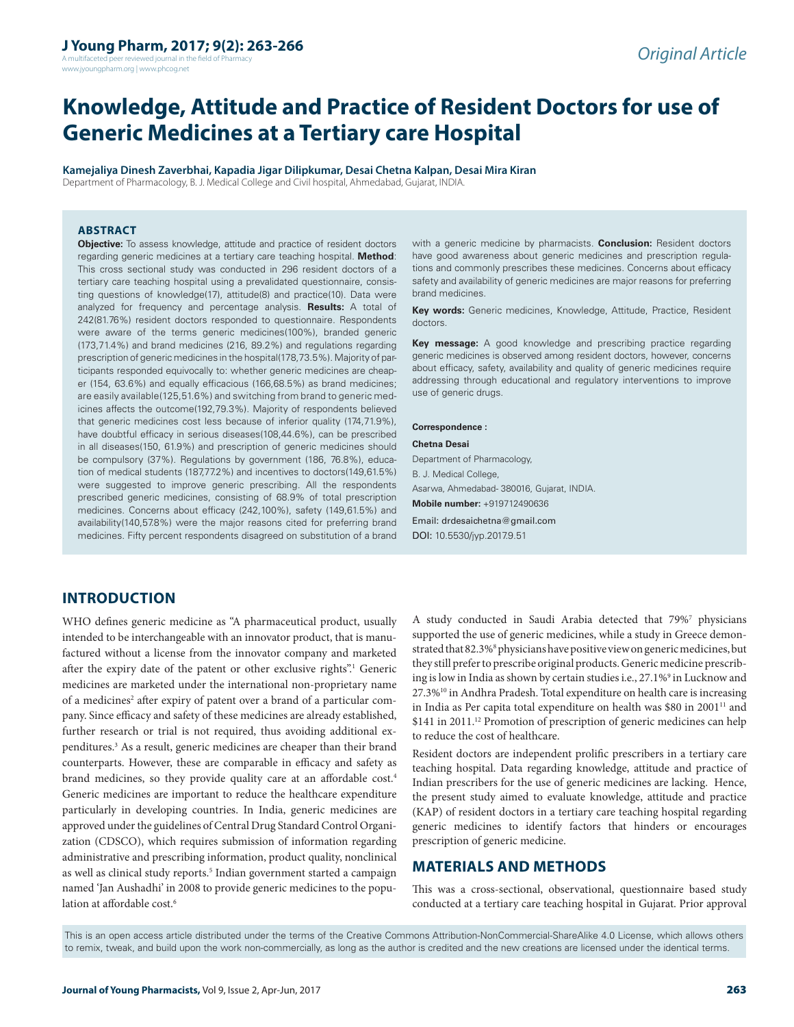A multifaceted peer reviewed journal in the field of Pharm www.jyoungpharm.org | www.phcog.net

# **Knowledge, Attitude and Practice of Resident Doctors for use of Generic Medicines at a Tertiary care Hospital**

**Kamejaliya Dinesh Zaverbhai, Kapadia Jigar Dilipkumar, Desai Chetna Kalpan, Desai Mira Kiran** Department of Pharmacology, B. J. Medical College and Civil hospital, Ahmedabad, Gujarat, INDIA.

#### **ABSTRACT**

**Objective:** To assess knowledge, attitude and practice of resident doctors regarding generic medicines at a tertiary care teaching hospital. **Method**: This cross sectional study was conducted in 296 resident doctors of a tertiary care teaching hospital using a prevalidated questionnaire, consisting questions of knowledge(17), attitude(8) and practice(10). Data were analyzed for frequency and percentage analysis. **Results:** A total of 242(81.76%) resident doctors responded to questionnaire. Respondents were aware of the terms generic medicines(100%), branded generic (173,71.4%) and brand medicines (216, 89.2%) and regulations regarding prescription of generic medicines in the hospital(178,73.5%). Majority of participants responded equivocally to: whether generic medicines are cheaper (154, 63.6%) and equally efficacious (166,68.5%) as brand medicines; are easily available(125,51.6%) and switching from brand to generic medicines affects the outcome(192,79.3%). Majority of respondents believed that generic medicines cost less because of inferior quality (174,71.9%), have doubtful efficacy in serious diseases(108,44.6%), can be prescribed in all diseases(150, 61.9%) and prescription of generic medicines should be compulsory (37%). Regulations by government (186, 76.8%), education of medical students (187,77.2%) and incentives to doctors(149,61.5%) were suggested to improve generic prescribing. All the respondents prescribed generic medicines, consisting of 68.9% of total prescription medicines. Concerns about efficacy (242,100%), safety (149,61.5%) and availability(140,57.8%) were the major reasons cited for preferring brand medicines. Fifty percent respondents disagreed on substitution of a brand

with a generic medicine by pharmacists. **Conclusion:** Resident doctors have good awareness about generic medicines and prescription regulations and commonly prescribes these medicines. Concerns about efficacy safety and availability of generic medicines are major reasons for preferring brand medicines.

**Key words:** Generic medicines, Knowledge, Attitude, Practice, Resident doctors.

**Key message:** A good knowledge and prescribing practice regarding generic medicines is observed among resident doctors, however, concerns about efficacy, safety, availability and quality of generic medicines require addressing through educational and regulatory interventions to improve use of generic drugs.

#### **Correspondence :**

**Chetna Desai** Department of Pharmacology, B. J. Medical College, Asarwa, Ahmedabad- 380016, Gujarat, INDIA. **Mobile number:** +919712490636 Email: drdesaichetna@gmail.com DOI: 10.5530/jyp.2017.9.51

## **INTRODUCTION**

WHO defines generic medicine as "A pharmaceutical product, usually intended to be interchangeable with an innovator product, that is manufactured without a license from the innovator company and marketed after the expiry date of the patent or other exclusive rights".<sup>1</sup> Generic medicines are marketed under the international non-proprietary name of a medicines<sup>2</sup> after expiry of patent over a brand of a particular company. Since efficacy and safety of these medicines are already established, further research or trial is not required, thus avoiding additional expenditures.<sup>3</sup> As a result, generic medicines are cheaper than their brand counterparts. However, these are comparable in efficacy and safety as brand medicines, so they provide quality care at an affordable cost.<sup>4</sup> Generic medicines are important to reduce the healthcare expenditure particularly in developing countries. In India, generic medicines are approved under the guidelines of Central Drug Standard Control Organization (CDSCO), which requires submission of information regarding administrative and prescribing information, product quality, nonclinical as well as clinical study reports.<sup>5</sup> Indian government started a campaign named 'Jan Aushadhi' in 2008 to provide generic medicines to the population at affordable cost.<sup>6</sup>

A study conducted in Saudi Arabia detected that 79%7 physicians supported the use of generic medicines, while a study in Greece demonstrated that 82.3%<sup>8</sup> physicians have positive view on generic medicines, but they still prefer to prescribe original products. Generic medicine prescribing is low in India as shown by certain studies i.e., 27.1%9 in Lucknow and 27.3%10 in Andhra Pradesh. Total expenditure on health care is increasing in India as Per capita total expenditure on health was \$80 in 2001<sup>11</sup> and \$141 in 2011.<sup>12</sup> Promotion of prescription of generic medicines can help to reduce the cost of healthcare.

Resident doctors are independent prolific prescribers in a tertiary care teaching hospital. Data regarding knowledge, attitude and practice of Indian prescribers for the use of generic medicines are lacking. Hence, the present study aimed to evaluate knowledge, attitude and practice (KAP) of resident doctors in a tertiary care teaching hospital regarding generic medicines to identify factors that hinders or encourages prescription of generic medicine.

## **MATERIALS AND METHODS**

This was a cross-sectional, observational, questionnaire based study conducted at a tertiary care teaching hospital in Gujarat. Prior approval

This is an open access article distributed under the terms of the Creative Commons Attribution-NonCommercial-ShareAlike 4.0 License, which allows others to remix, tweak, and build upon the work non-commercially, as long as the author is credited and the new creations are licensed under the identical terms.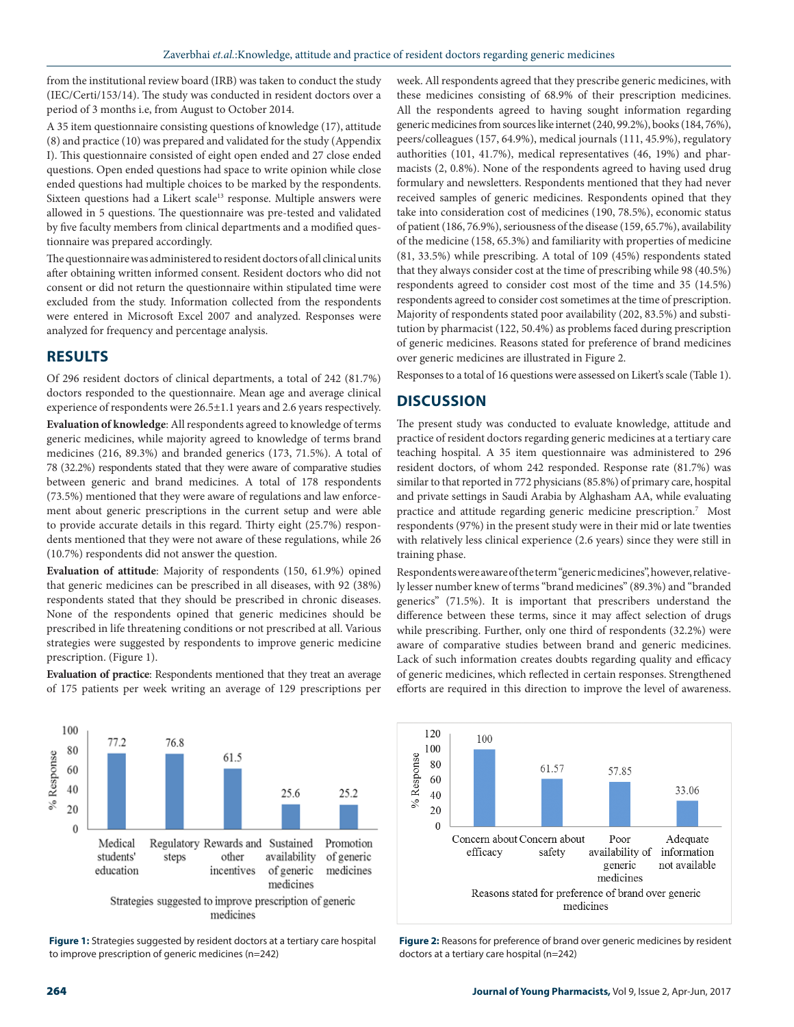from the institutional review board (IRB) was taken to conduct the study (IEC/Certi/153/14). The study was conducted in resident doctors over a period of 3 months i.e, from August to October 2014.

A 35 item questionnaire consisting questions of knowledge (17), attitude (8) and practice (10) was prepared and validated for the study (Appendix I). This questionnaire consisted of eight open ended and 27 close ended questions. Open ended questions had space to write opinion while close ended questions had multiple choices to be marked by the respondents. Sixteen questions had a Likert scale<sup>13</sup> response. Multiple answers were allowed in 5 questions. The questionnaire was pre-tested and validated by five faculty members from clinical departments and a modified questionnaire was prepared accordingly.

The questionnaire was administered to resident doctors of all clinical units after obtaining written informed consent. Resident doctors who did not consent or did not return the questionnaire within stipulated time were excluded from the study. Information collected from the respondents were entered in Microsoft Excel 2007 and analyzed. Responses were analyzed for frequency and percentage analysis.

## **RESULTS**

Of 296 resident doctors of clinical departments, a total of 242 (81.7%) doctors responded to the questionnaire. Mean age and average clinical experience of respondents were 26.5±1.1 years and 2.6 years respectively. **Evaluation of knowledge**: All respondents agreed to knowledge of terms generic medicines, while majority agreed to knowledge of terms brand medicines (216, 89.3%) and branded generics (173, 71.5%). A total of 78 (32.2%) respondents stated that they were aware of comparative studies between generic and brand medicines. A total of 178 respondents (73.5%) mentioned that they were aware of regulations and law enforcement about generic prescriptions in the current setup and were able to provide accurate details in this regard. Thirty eight (25.7%) respondents mentioned that they were not aware of these regulations, while 26 (10.7%) respondents did not answer the question.

**Evaluation of attitude**: Majority of respondents (150, 61.9%) opined that generic medicines can be prescribed in all diseases, with 92 (38%) respondents stated that they should be prescribed in chronic diseases. None of the respondents opined that generic medicines should be prescribed in life threatening conditions or not prescribed at all. Various strategies were suggested by respondents to improve generic medicine prescription. (Figure 1).

**Evaluation of practice**: Respondents mentioned that they treat an average of 175 patients per week writing an average of 129 prescriptions per



**Figure 1:** Strategies suggested by resident doctors at a tertiary care hospital to improve prescription of generic medicines (n=242)

week. All respondents agreed that they prescribe generic medicines, with these medicines consisting of 68.9% of their prescription medicines. All the respondents agreed to having sought information regarding generic medicines from sources like internet (240, 99.2%), books (184, 76%), peers/colleagues (157, 64.9%), medical journals (111, 45.9%), regulatory authorities (101, 41.7%), medical representatives (46, 19%) and pharmacists (2, 0.8%). None of the respondents agreed to having used drug formulary and newsletters. Respondents mentioned that they had never received samples of generic medicines. Respondents opined that they take into consideration cost of medicines (190, 78.5%), economic status of patient (186, 76.9%), seriousness of the disease (159, 65.7%), availability of the medicine (158, 65.3%) and familiarity with properties of medicine (81, 33.5%) while prescribing. A total of 109 (45%) respondents stated that they always consider cost at the time of prescribing while 98 (40.5%) respondents agreed to consider cost most of the time and 35 (14.5%) respondents agreed to consider cost sometimes at the time of prescription. Majority of respondents stated poor availability (202, 83.5%) and substitution by pharmacist (122, 50.4%) as problems faced during prescription of generic medicines. Reasons stated for preference of brand medicines over generic medicines are illustrated in Figure 2.

Responses to a total of 16 questions were assessed on Likert's scale (Table 1).

## **DISCUSSION**

The present study was conducted to evaluate knowledge, attitude and practice of resident doctors regarding generic medicines at a tertiary care teaching hospital. A 35 item questionnaire was administered to 296 resident doctors, of whom 242 responded. Response rate (81.7%) was similar to that reported in 772 physicians (85.8%) of primary care, hospital and private settings in Saudi Arabia by Alghasham AA, while evaluating practice and attitude regarding generic medicine prescription.<sup>7</sup> Most respondents (97%) in the present study were in their mid or late twenties with relatively less clinical experience (2.6 years) since they were still in training phase.

Respondents were aware of the term "generic medicines", however, relatively lesser number knew of terms "brand medicines" (89.3%) and "branded generics" (71.5%). It is important that prescribers understand the difference between these terms, since it may affect selection of drugs while prescribing. Further, only one third of respondents (32.2%) were aware of comparative studies between brand and generic medicines. Lack of such information creates doubts regarding quality and efficacy of generic medicines, which reflected in certain responses. Strengthened efforts are required in this direction to improve the level of awareness.



**Figure 2:** Reasons for preference of brand over generic medicines by resident doctors at a tertiary care hospital (n=242)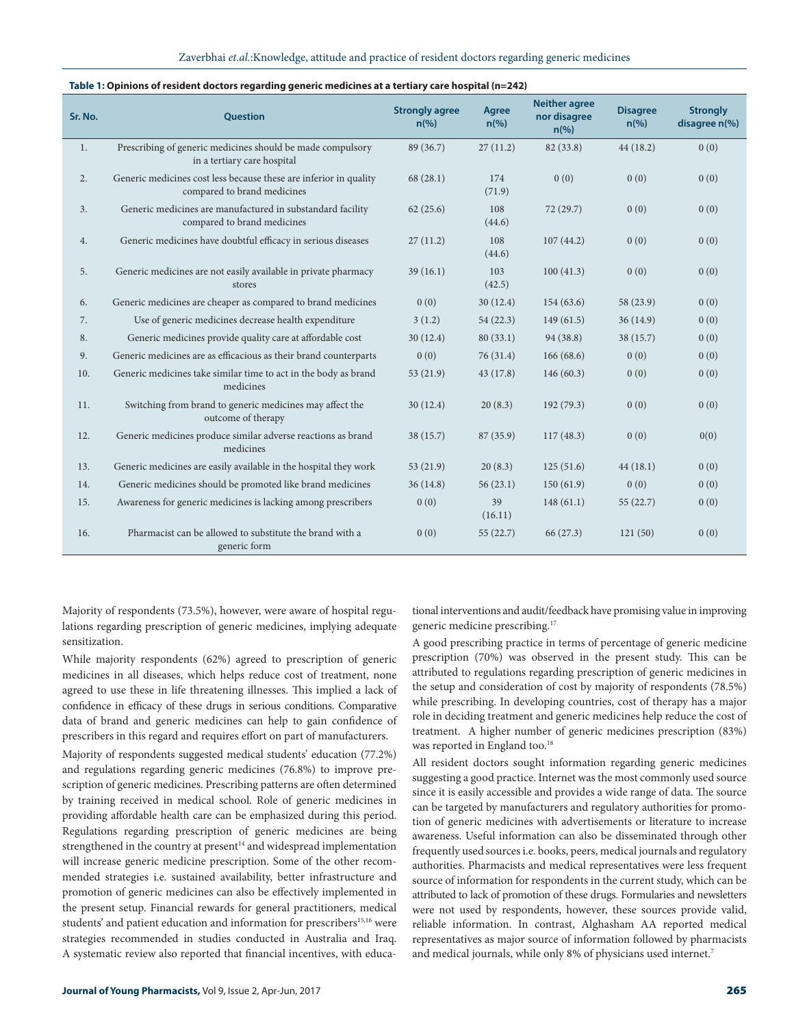#### Zaverbhai *et.al.*:Knowledge, attitude and practice of resident doctors regarding generic medicines

| Sr. No. | <b>Question</b>                                                                                  | <b>Strongly agree</b><br>$n\left(\frac{9}{6}\right)$ | Agree<br>$n\left(\%\right)$ | <b>Neither agree</b><br>nor disagree<br>$n\left(\%\right)$ | <b>Disagree</b><br>$n\left(\%\right)$ | <b>Strongly</b><br>disagree n(%) |
|---------|--------------------------------------------------------------------------------------------------|------------------------------------------------------|-----------------------------|------------------------------------------------------------|---------------------------------------|----------------------------------|
| 1.      | Prescribing of generic medicines should be made compulsory<br>in a tertiary care hospital        | 89 (36.7)                                            | 27(11.2)                    | 82 (33.8)                                                  | 44(18.2)                              | 0(0)                             |
| 2.      | Generic medicines cost less because these are inferior in quality<br>compared to brand medicines | 68(28.1)                                             | 174<br>(71.9)               | 0(0)                                                       | 0(0)                                  | 0(0)                             |
| 3.      | Generic medicines are manufactured in substandard facility<br>compared to brand medicines        | 62(25.6)                                             | 108<br>(44.6)               | 72(29.7)                                                   | 0(0)                                  | 0(0)                             |
| 4.      | Generic medicines have doubtful efficacy in serious diseases                                     | 27(11.2)                                             | 108<br>(44.6)               | 107(44.2)                                                  | 0(0)                                  | 0(0)                             |
| 5.      | Generic medicines are not easily available in private pharmacy<br>stores                         | 39(16.1)                                             | 103<br>(42.5)               | 100(41.3)                                                  | 0(0)                                  | 0(0)                             |
| 6.      | Generic medicines are cheaper as compared to brand medicines                                     | 0(0)                                                 | 30(12.4)                    | 154(63.6)                                                  | 58 (23.9)                             | 0(0)                             |
| 7.      | Use of generic medicines decrease health expenditure                                             | 3(1.2)                                               | 54(22.3)                    | 149(61.5)                                                  | 36(14.9)                              | 0(0)                             |
| 8.      | Generic medicines provide quality care at affordable cost                                        | 30(12.4)                                             | 80(33.1)                    | 94 (38.8)                                                  | 38 (15.7)                             | 0(0)                             |
| 9.      | Generic medicines are as efficacious as their brand counterparts                                 | 0(0)                                                 | 76(31.4)                    | 166(68.6)                                                  | 0(0)                                  | 0(0)                             |
| 10.     | Generic medicines take similar time to act in the body as brand<br>medicines                     | 53(21.9)                                             | 43(17.8)                    | 146(60.3)                                                  | 0(0)                                  | 0(0)                             |
| 11.     | Switching from brand to generic medicines may affect the<br>outcome of therapy                   | 30(12.4)                                             | 20(8.3)                     | 192(79.3)                                                  | 0(0)                                  | 0(0)                             |
| 12.     | Generic medicines produce similar adverse reactions as brand<br>medicines                        | 38 (15.7)                                            | 87 (35.9)                   | 117(48.3)                                                  | 0(0)                                  | 0(0)                             |
| 13.     | Generic medicines are easily available in the hospital they work                                 | 53(21.9)                                             | 20(8.3)                     | 125(51.6)                                                  | 44(18.1)                              | 0(0)                             |
| 14.     | Generic medicines should be promoted like brand medicines                                        | 36(14.8)                                             | 56(23.1)                    | 150(61.9)                                                  | 0(0)                                  | 0(0)                             |
| 15.     | Awareness for generic medicines is lacking among prescribers                                     | 0(0)                                                 | 39<br>(16.11)               | 148(61.1)                                                  | 55(22.7)                              | 0(0)                             |
| 16.     | Pharmacist can be allowed to substitute the brand with a<br>generic form                         | 0(0)                                                 | 55(22.7)                    | 66 (27.3)                                                  | 121(50)                               | 0(0)                             |

#### **Table 1: Opinions of resident doctors regarding generic medicines at a tertiary care hospital (n=242)**

Majority of respondents (73.5%), however, were aware of hospital regulations regarding prescription of generic medicines, implying adequate sensitization.

While majority respondents (62%) agreed to prescription of generic medicines in all diseases, which helps reduce cost of treatment, none agreed to use these in life threatening illnesses. This implied a lack of confidence in efficacy of these drugs in serious conditions. Comparative data of brand and generic medicines can help to gain confidence of prescribers in this regard and requires effort on part of manufacturers.

Majority of respondents suggested medical students' education (77.2%) and regulations regarding generic medicines (76.8%) to improve prescription of generic medicines. Prescribing patterns are often determined by training received in medical school. Role of generic medicines in providing affordable health care can be emphasized during this period. Regulations regarding prescription of generic medicines are being strengthened in the country at present<sup>14</sup> and widespread implementation will increase generic medicine prescription. Some of the other recommended strategies i.e. sustained availability, better infrastructure and promotion of generic medicines can also be effectively implemented in the present setup. Financial rewards for general practitioners, medical students' and patient education and information for prescribers<sup>15,16</sup> were strategies recommended in studies conducted in Australia and Iraq. A systematic review also reported that financial incentives, with educa-

tional interventions and audit/feedback have promising value in improving generic medicine prescribing.17

A good prescribing practice in terms of percentage of generic medicine prescription (70%) was observed in the present study. This can be attributed to regulations regarding prescription of generic medicines in the setup and consideration of cost by majority of respondents (78.5%) while prescribing. In developing countries, cost of therapy has a major role in deciding treatment and generic medicines help reduce the cost of treatment. A higher number of generic medicines prescription (83%) was reported in England too.<sup>18</sup>

All resident doctors sought information regarding generic medicines suggesting a good practice. Internet was the most commonly used source since it is easily accessible and provides a wide range of data. The source can be targeted by manufacturers and regulatory authorities for promotion of generic medicines with advertisements or literature to increase awareness. Useful information can also be disseminated through other frequently used sources i.e. books, peers, medical journals and regulatory authorities. Pharmacists and medical representatives were less frequent source of information for respondents in the current study, which can be attributed to lack of promotion of these drugs. Formularies and newsletters were not used by respondents, however, these sources provide valid, reliable information. In contrast, Alghasham AA reported medical representatives as major source of information followed by pharmacists and medical journals, while only 8% of physicians used internet.<sup>7</sup>